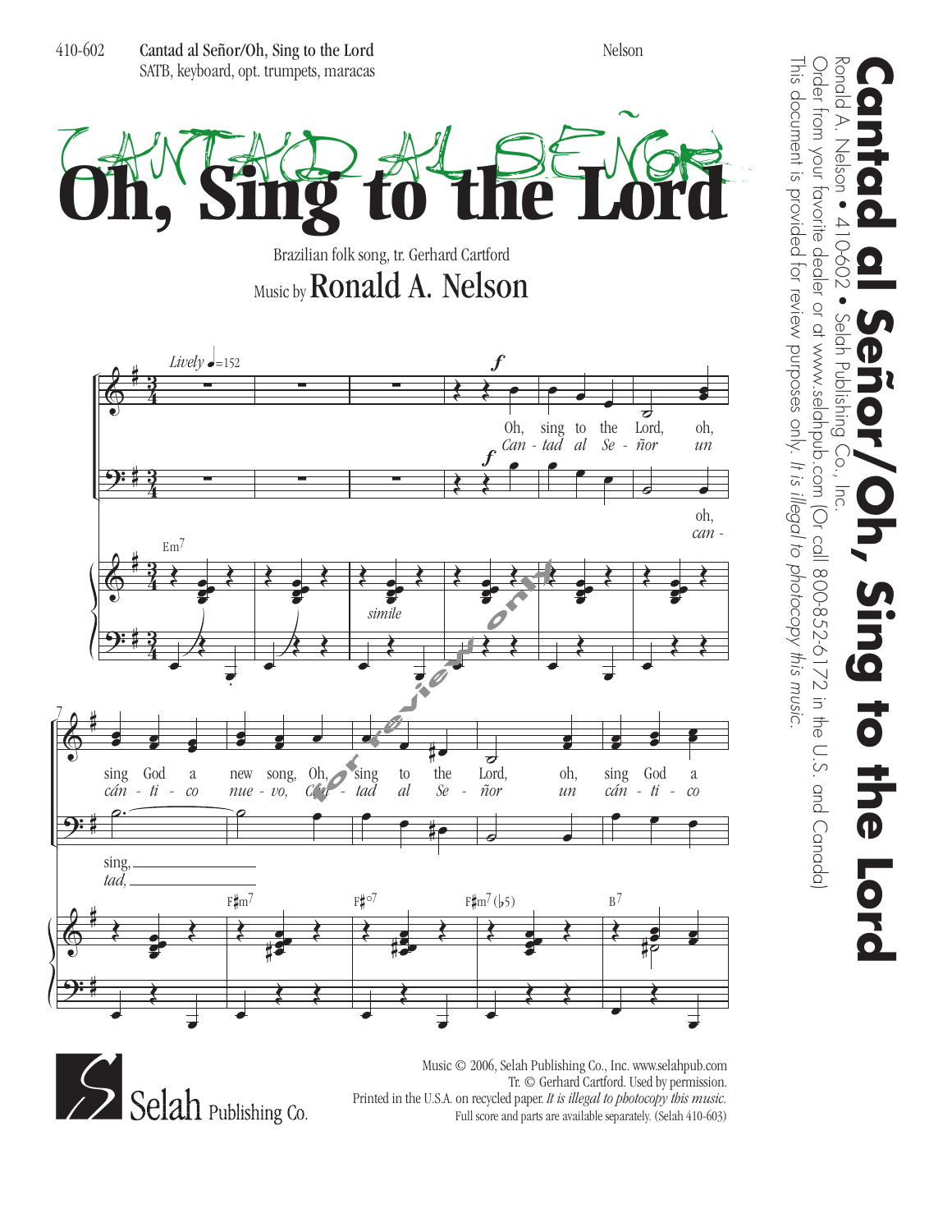

 $\sum$ Selah Publishing Co.

Printed in the U.S.A. on recycled paper. *It is illegal to photocopy this music*. Tr. © Gerhard Cartford. Used by permission. Full score and parts are available separately. (Selah 410-603)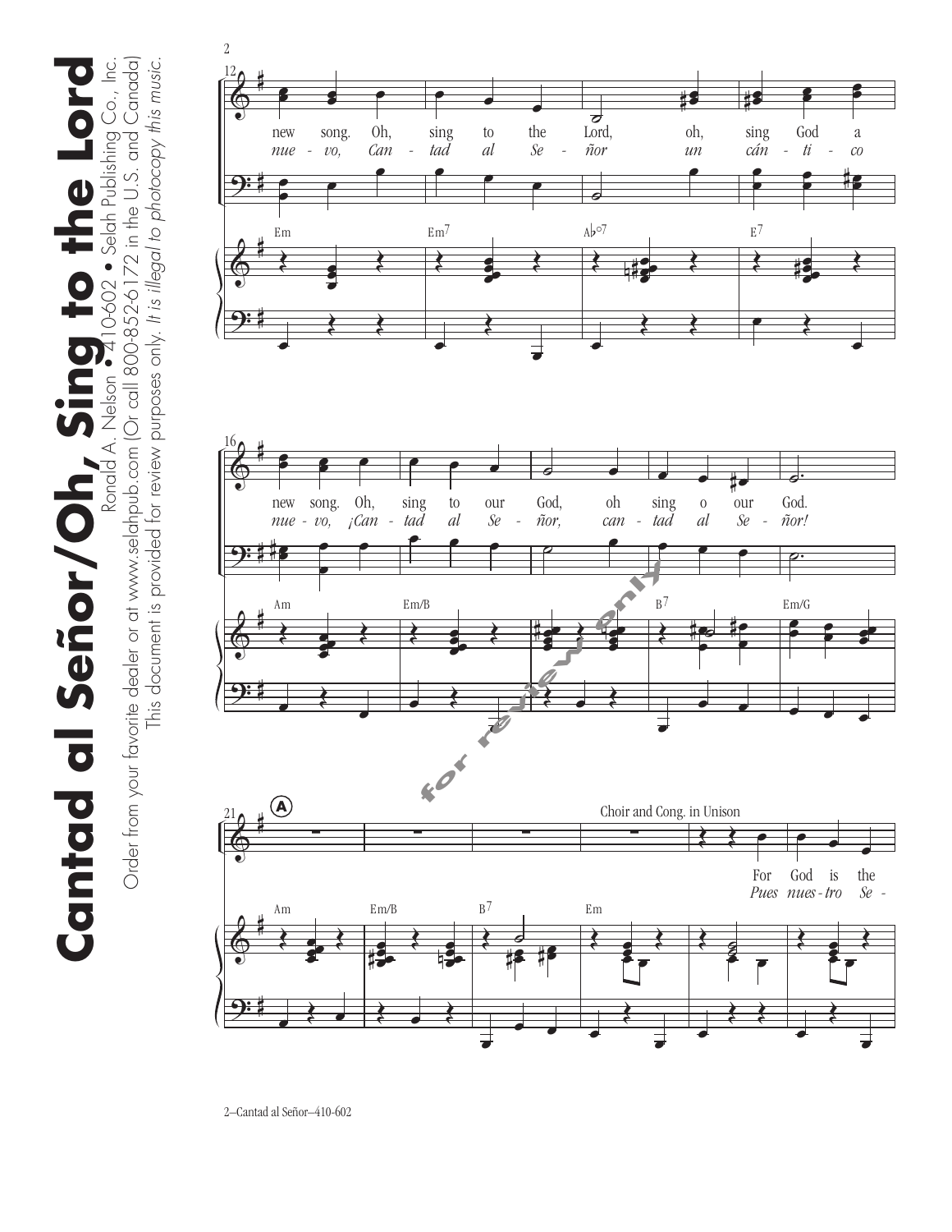Cantad al Señor/Oh, Sing to the the Lord<br>Prince from your favorite dealer or at www.selahpub.com (Or call 800-852-6172 in the U.S. and Canada) **Cantad al Señor/Oh, Sing to the Lord** Ronald A. Nelson • 410-602 • Selah Publishing Co., Inc.

Order from your favorite dealer or at www.selahpub.com (Or call 800-852-6172 in the U.S. and Canada)

This document is provided for review purposes only. *It is illegal to photocopy this music.*

This document is provided for review purposes only. It is illegal to photocopy this music.

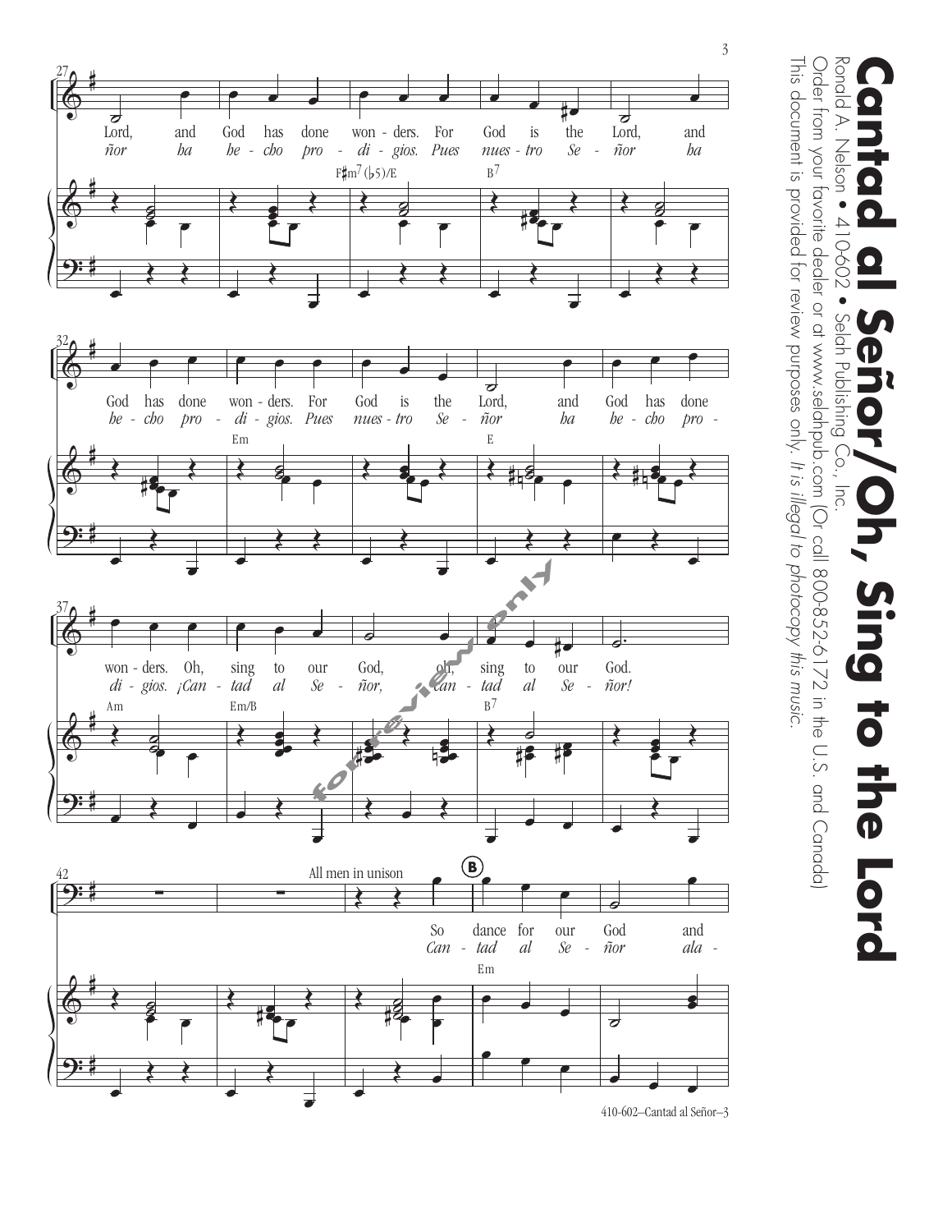

410-602–Cantad al Señor–3

Order from your favorite dealer or at www.selahpub.com (Or call 800-852-6172 in the U.S. and Canada) Order from your favorite dealer or at www.selahpub.com (Or call 800-852-6172 in the U.S. and Canada) Ronald A. Nelson • 410-602 • Selah Publishing Co., Inc. **Cantad al Señor/Oh, Sing to the Lord** Ronald  $\triangleright$ Nelson • 410-602 Selah Đ Publishing ı  $\bigcirc$ ing to the Lord

This document is provided for review purposes only.

This document is provided for review purposes only. It is illegal to photocopy this music.

*It is illegal to photocopy this music.*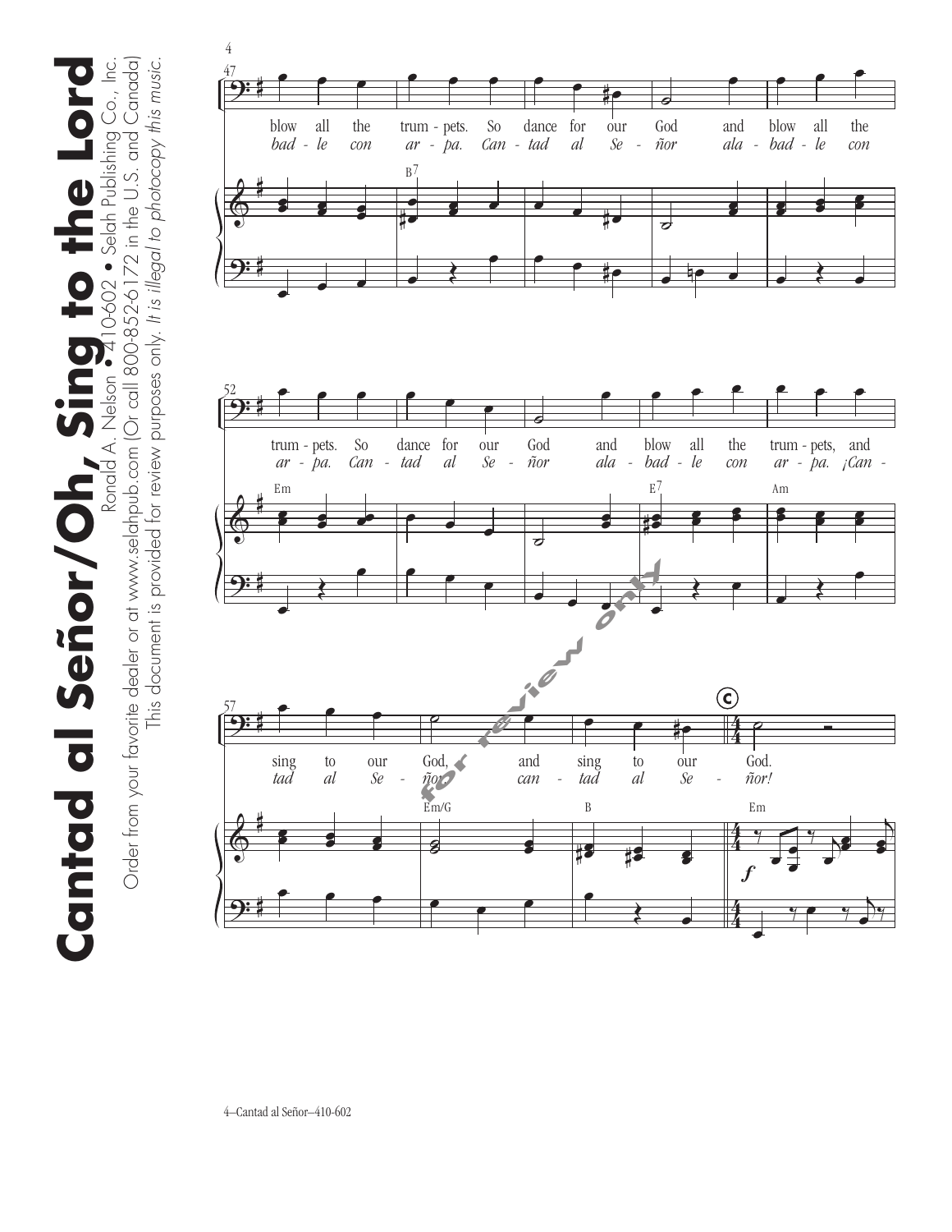Cantad al Señor/Oh, Sing to the the Lord<br>Poder from your favorite dealer or at www.selahpub.com (Or call 800-852-6172 in the U.S. and Canada) Order from your favorite dealer or at www.selahpub.com (Or call 800-852-6172 in the U.S. and Canada) **Cantad al Señor/Oh, Sing to the Lord** Ronald A. Nelson • 410-602 • Selah Publishing Co., Inc.

This document is provided for review purposes only. *It is illegal to photocopy this music.*

This document is provided for review purposes only. It is illegal to photocopy this music.

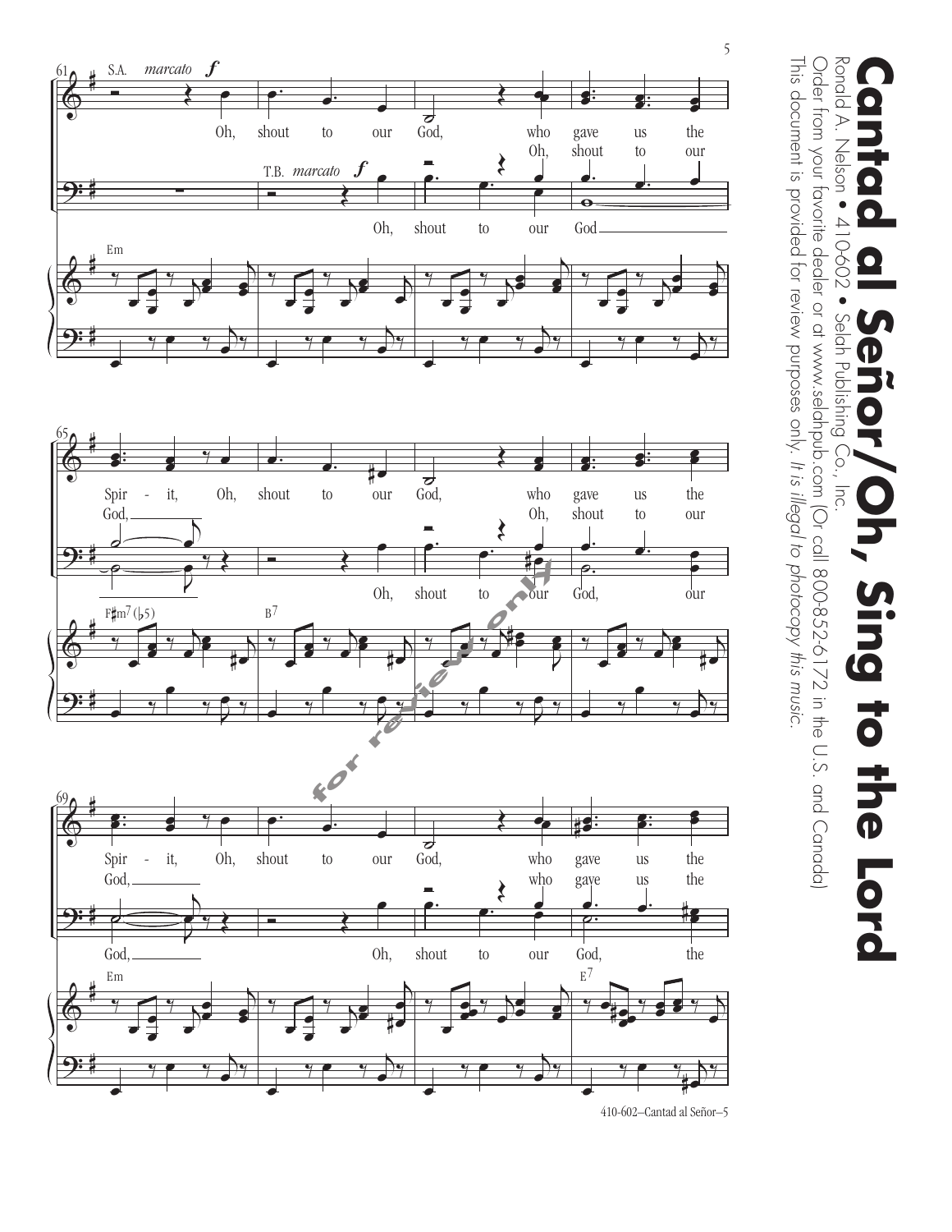

Order from your favorite dealer or at www.selahpub.com (Or call 800-852-6172 in the U.S. and Canada)

Order from your favorite dealer or at www.selahpub.com (Or call 800-852-6172 in the U.S. and Canada)

*It is illegal to photocopy this music.*

This document is provided for review purposes only.

This document is provided for review purposes only. It is illegal to photocopy this music.

410-602–Cantad al Señor–5

Ronald A. Nelson • Ronald A. Nelson • 410-602 • Selah Publishing Co., Inc. **Cantad al Señor/Oh, Sing to the Lord** 410-602  $\bullet$ Selah Publishing  $\mathbf{P}$ 1  $C$ **Inc. Eng** to the Lord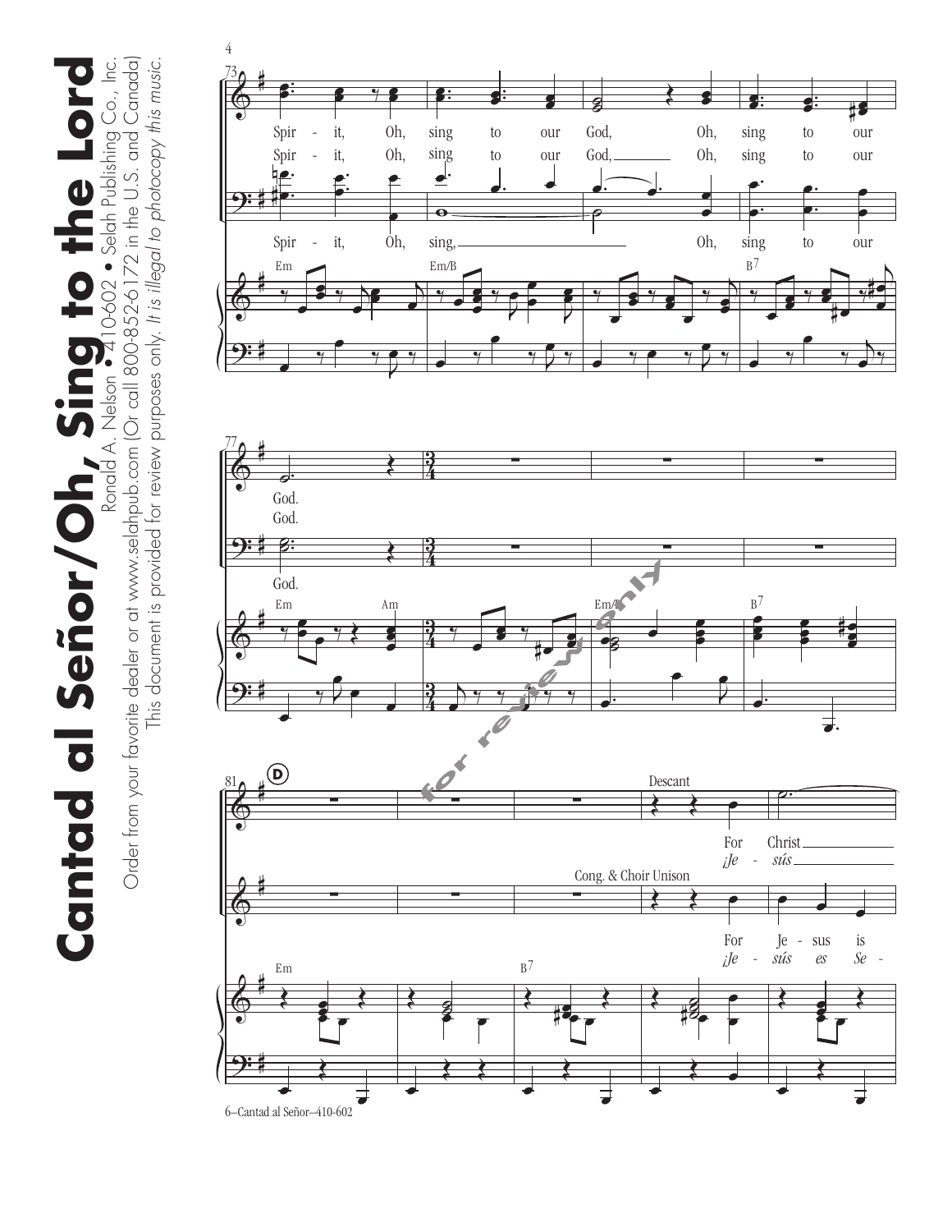Cantad al Señor/Oh, Sing to the the Lord<br>Prince from your favorite dealer or at www.selahpub.com (Or call 800-852-6172 in the U.S. and Canada) **Cantad al Señor/Oh, Sing to the Lord** Ronald A. Nelson • 410-602 • Selah Publishing Co., Inc.

Order from your favorite dealer or at www.selahpub.com (Or call 800-852-6172 in the U.S. and Canada)

This document is provided for review purposes only. *It is illegal to photocopy this music.*

This document is provided for review purposes only. It is illegal to photocopy this music.



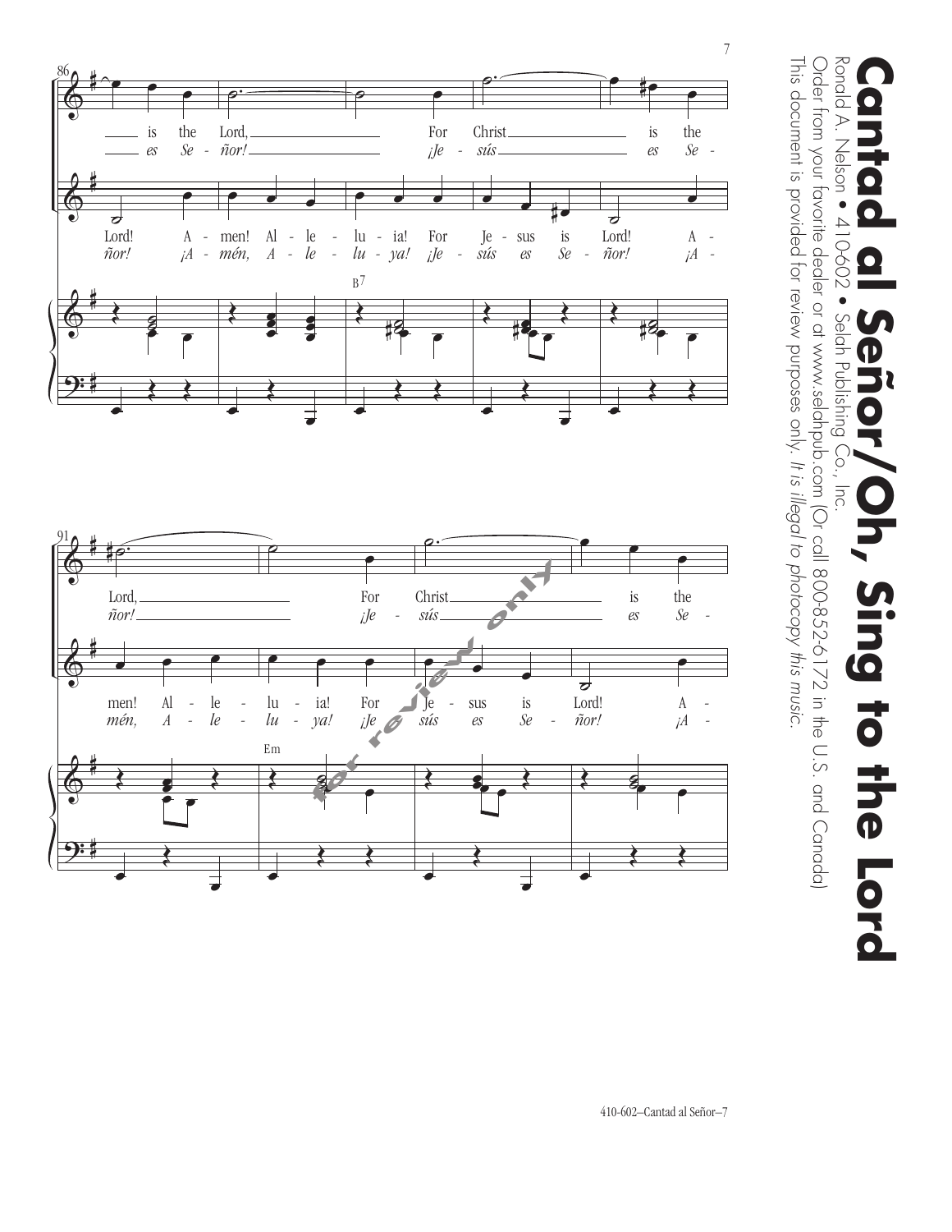





7

This document is provided for review purposes only.

This document is provided for review purposes only. It is illegal to photocopy this music.

*It is illegal to photocopy this music.*